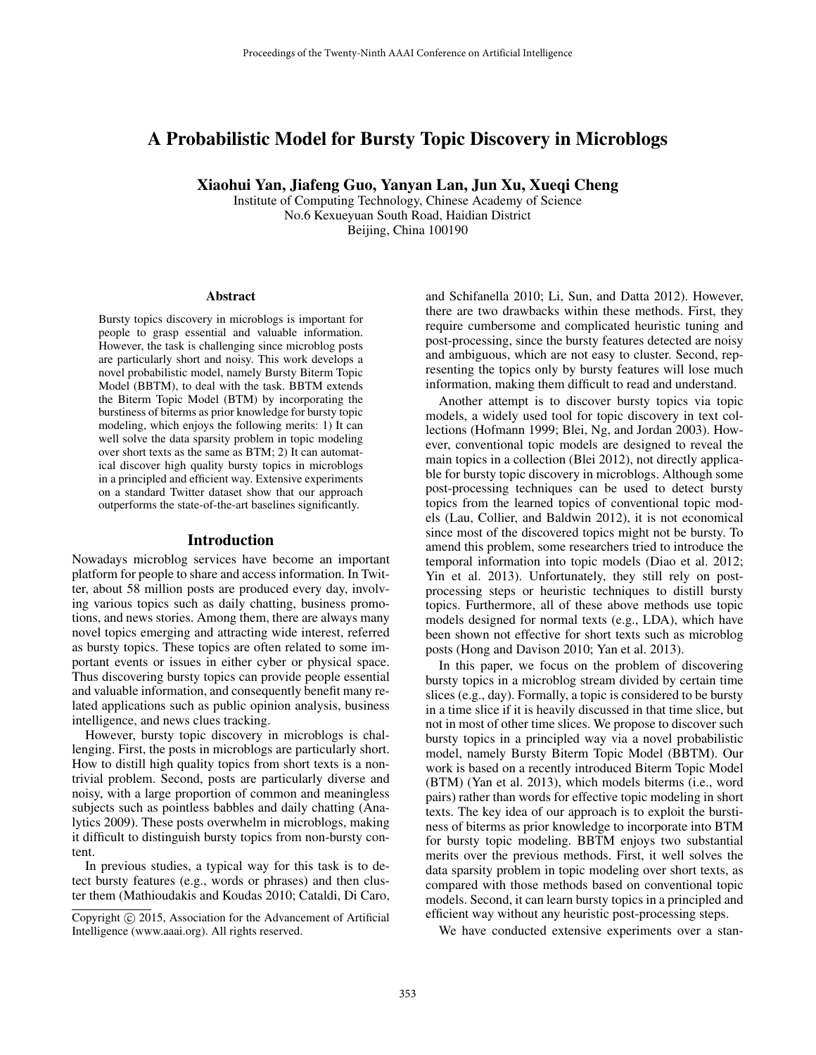# A Probabilistic Model for Bursty Topic Discovery in Microblogs

Xiaohui Yan, Jiafeng Guo, Yanyan Lan, Jun Xu, Xueqi Cheng

Institute of Computing Technology, Chinese Academy of Science No.6 Kexueyuan South Road, Haidian District Beijing, China 100190

#### **Abstract**

Bursty topics discovery in microblogs is important for people to grasp essential and valuable information. However, the task is challenging since microblog posts are particularly short and noisy. This work develops a novel probabilistic model, namely Bursty Biterm Topic Model (BBTM), to deal with the task. BBTM extends the Biterm Topic Model (BTM) by incorporating the burstiness of biterms as prior knowledge for bursty topic modeling, which enjoys the following merits: 1) It can well solve the data sparsity problem in topic modeling over short texts as the same as BTM; 2) It can automatical discover high quality bursty topics in microblogs in a principled and efficient way. Extensive experiments on a standard Twitter dataset show that our approach outperforms the state-of-the-art baselines significantly.

#### Introduction

Nowadays microblog services have become an important platform for people to share and access information. In Twitter, about 58 million posts are produced every day, involving various topics such as daily chatting, business promotions, and news stories. Among them, there are always many novel topics emerging and attracting wide interest, referred as bursty topics. These topics are often related to some important events or issues in either cyber or physical space. Thus discovering bursty topics can provide people essential and valuable information, and consequently benefit many related applications such as public opinion analysis, business intelligence, and news clues tracking.

However, bursty topic discovery in microblogs is challenging. First, the posts in microblogs are particularly short. How to distill high quality topics from short texts is a nontrivial problem. Second, posts are particularly diverse and noisy, with a large proportion of common and meaningless subjects such as pointless babbles and daily chatting (Analytics 2009). These posts overwhelm in microblogs, making it difficult to distinguish bursty topics from non-bursty content.

In previous studies, a typical way for this task is to detect bursty features (e.g., words or phrases) and then cluster them (Mathioudakis and Koudas 2010; Cataldi, Di Caro, and Schifanella 2010; Li, Sun, and Datta 2012). However, there are two drawbacks within these methods. First, they require cumbersome and complicated heuristic tuning and post-processing, since the bursty features detected are noisy and ambiguous, which are not easy to cluster. Second, representing the topics only by bursty features will lose much information, making them difficult to read and understand.

Another attempt is to discover bursty topics via topic models, a widely used tool for topic discovery in text collections (Hofmann 1999; Blei, Ng, and Jordan 2003). However, conventional topic models are designed to reveal the main topics in a collection (Blei 2012), not directly applicable for bursty topic discovery in microblogs. Although some post-processing techniques can be used to detect bursty topics from the learned topics of conventional topic models (Lau, Collier, and Baldwin 2012), it is not economical since most of the discovered topics might not be bursty. To amend this problem, some researchers tried to introduce the temporal information into topic models (Diao et al. 2012; Yin et al. 2013). Unfortunately, they still rely on postprocessing steps or heuristic techniques to distill bursty topics. Furthermore, all of these above methods use topic models designed for normal texts (e.g., LDA), which have been shown not effective for short texts such as microblog posts (Hong and Davison 2010; Yan et al. 2013).

In this paper, we focus on the problem of discovering bursty topics in a microblog stream divided by certain time slices (e.g., day). Formally, a topic is considered to be bursty in a time slice if it is heavily discussed in that time slice, but not in most of other time slices. We propose to discover such bursty topics in a principled way via a novel probabilistic model, namely Bursty Biterm Topic Model (BBTM). Our work is based on a recently introduced Biterm Topic Model (BTM) (Yan et al. 2013), which models biterms (i.e., word pairs) rather than words for effective topic modeling in short texts. The key idea of our approach is to exploit the burstiness of biterms as prior knowledge to incorporate into BTM for bursty topic modeling. BBTM enjoys two substantial merits over the previous methods. First, it well solves the data sparsity problem in topic modeling over short texts, as compared with those methods based on conventional topic models. Second, it can learn bursty topics in a principled and efficient way without any heuristic post-processing steps.

We have conducted extensive experiments over a stan-

Copyright (c) 2015, Association for the Advancement of Artificial Intelligence (www.aaai.org). All rights reserved.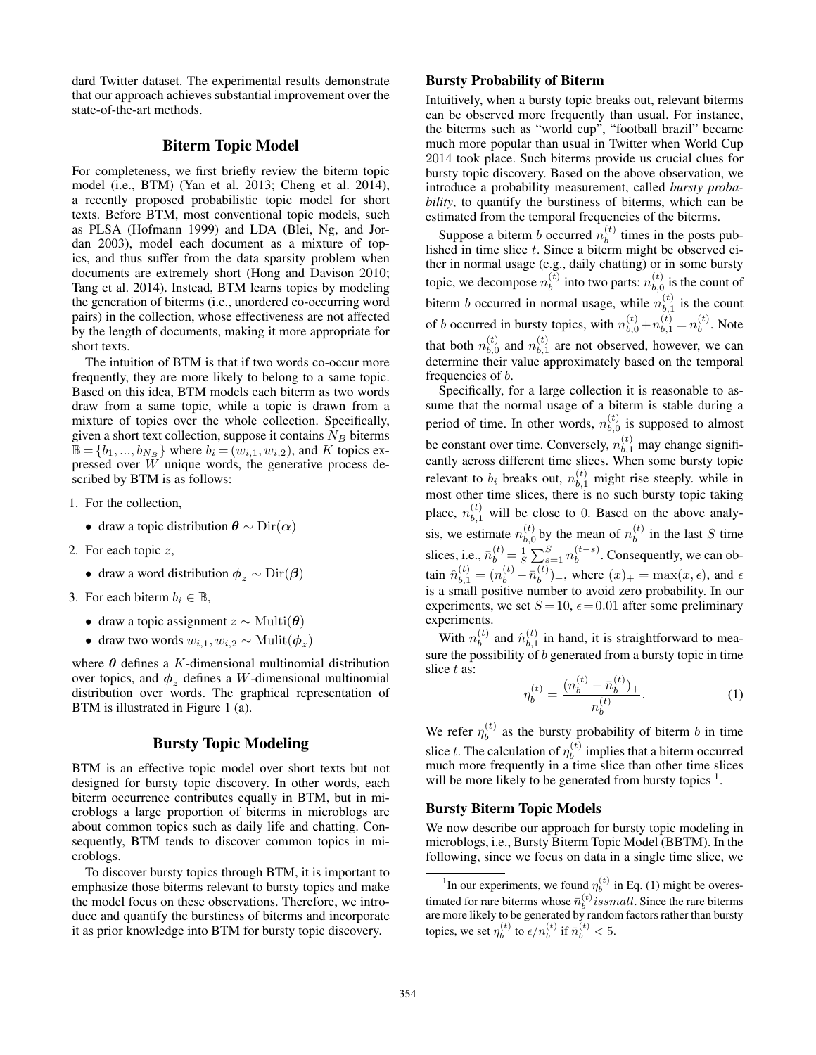dard Twitter dataset. The experimental results demonstrate that our approach achieves substantial improvement over the state-of-the-art methods.

# Biterm Topic Model

For completeness, we first briefly review the biterm topic model (i.e., BTM) (Yan et al. 2013; Cheng et al. 2014), a recently proposed probabilistic topic model for short texts. Before BTM, most conventional topic models, such as PLSA (Hofmann 1999) and LDA (Blei, Ng, and Jordan 2003), model each document as a mixture of topics, and thus suffer from the data sparsity problem when documents are extremely short (Hong and Davison 2010; Tang et al. 2014). Instead, BTM learns topics by modeling the generation of biterms (i.e., unordered co-occurring word pairs) in the collection, whose effectiveness are not affected by the length of documents, making it more appropriate for short texts.

The intuition of BTM is that if two words co-occur more frequently, they are more likely to belong to a same topic. Based on this idea, BTM models each biterm as two words draw from a same topic, while a topic is drawn from a mixture of topics over the whole collection. Specifically, given a short text collection, suppose it contains  $N_B$  biterms  $\mathbb{B} = \{b_1, ..., b_{N_B}\}\$  where  $b_i = (w_{i,1}, w_{i,2})$ , and K topics expressed over W unique words, the generative process described by BTM is as follows:

- 1. For the collection,
	- draw a topic distribution  $\theta \sim \text{Dir}(\alpha)$
- 2. For each topic z,
	- draw a word distribution  $\phi_z \sim \text{Dir}(\beta)$
- 3. For each biterm  $b_i \in \mathbb{B}$ ,
	- draw a topic assignment  $z \sim \text{Multi}(\boldsymbol{\theta})$
	- draw two words  $w_{i,1}, w_{i,2} \sim \text{Multi}(\boldsymbol{\phi}_z)$

where  $\theta$  defines a K-dimensional multinomial distribution over topics, and  $\phi_z$  defines a W-dimensional multinomial distribution over words. The graphical representation of BTM is illustrated in Figure 1 (a).

# Bursty Topic Modeling

BTM is an effective topic model over short texts but not designed for bursty topic discovery. In other words, each biterm occurrence contributes equally in BTM, but in microblogs a large proportion of biterms in microblogs are about common topics such as daily life and chatting. Consequently, BTM tends to discover common topics in microblogs.

To discover bursty topics through BTM, it is important to emphasize those biterms relevant to bursty topics and make the model focus on these observations. Therefore, we introduce and quantify the burstiness of biterms and incorporate it as prior knowledge into BTM for bursty topic discovery.

#### Bursty Probability of Biterm

Intuitively, when a bursty topic breaks out, relevant biterms can be observed more frequently than usual. For instance, the biterms such as "world cup", "football brazil" became much more popular than usual in Twitter when World Cup 2014 took place. Such biterms provide us crucial clues for bursty topic discovery. Based on the above observation, we introduce a probability measurement, called *bursty probability*, to quantify the burstiness of biterms, which can be estimated from the temporal frequencies of the biterms.

Suppose a biterm b occurred  $n_b^{(t)}$  $b<sup>(t)</sup>$  times in the posts published in time slice  $t$ . Since a biterm might be observed either in normal usage (e.g., daily chatting) or in some bursty topic, we decompose  $n_h^{(t)}$  $\binom{t}{b}$  into two parts:  $n_{b,0}^{(t)}$  $b_{b,0}^{(t)}$  is the count of biterm *b* occurred in normal usage, while  $n_{b-1}^{(t)}$  $\binom{b}{b,1}$  is the count of *b* occurred in bursty topics, with  $n_{b,0}^{(t)} + n_{b,1}^{(t)} = n_b^{(t)}$  $b^{(t)}$ . Note that both  $n_{b,0}^{(t)}$  $\binom{t}{b,0}$  and  $n_{b,1}^{(t)}$  $b_{b,1}^{(t)}$  are not observed, however, we can determine their value approximately based on the temporal frequencies of b.

Specifically, for a large collection it is reasonable to assume that the normal usage of a biterm is stable during a period of time. In other words,  $n_{h,0}^{(t)}$  $b_{b,0}^{(t)}$  is supposed to almost be constant over time. Conversely,  $n_{b,1}^{(t)}$  may change significantly across different time slices. When some bursty topic relevant to  $b_i$  breaks out,  $n_{b,1}^{(t)}$  might rise steeply. while in most other time slices, there is no such bursty topic taking place,  $n_{b,1}^{(t)}$  will be close to 0. Based on the above analysis, we estimate  $n_{h,0}^{(t)}$  $\binom{t}{b,0}$  by the mean of  $n_b^{(t)}$  $b^{(t)}$  in the last S time slices, i.e.,  $\bar{n}_b^{(t)} = \frac{1}{S} \sum_{s=1}^{S} n_b^{(t-s)}$  $b^{(l-s)}$ . Consequently, we can obtain  $\hat{n}_{b,1}^{(t)} = (n_b^{(t)} - \bar{n}_b^{(t)}$  $\binom{b}{b}$  +, where  $(x)$  + = max $(x, \epsilon)$ , and  $\epsilon$ is a small positive number to avoid zero probability. In our experiments, we set  $S = 10$ ,  $\epsilon = 0.01$  after some preliminary experiments.

With  $n_h^{(t)}$  $\hat{h}_{b}^{(t)}$  and  $\hat{n}_{b,1}^{(t)}$  $b_{b,1}^{(t)}$  in hand, it is straightforward to measure the possibility of  $b$  generated from a bursty topic in time slice t as:

$$
\eta_b^{(t)} = \frac{(n_b^{(t)} - \bar{n}_b^{(t)})_+}{n_b^{(t)}}.\tag{1}
$$

We refer  $\eta_h^{(t)}$  $b<sub>b</sub><sup>(t)</sup>$  as the bursty probability of biterm b in time slice t. The calculation of  $\eta_h^{(t)}$  $b^{(t)}$  implies that a biterm occurred much more frequently in a time slice than other time slices will be more likely to be generated from bursty topics  $<sup>1</sup>$ .</sup>

#### Bursty Biterm Topic Models

We now describe our approach for bursty topic modeling in microblogs, i.e., Bursty Biterm Topic Model (BBTM). In the following, since we focus on data in a single time slice, we

<sup>&</sup>lt;sup>1</sup>In our experiments, we found  $\eta_b^{(t)}$  in Eq. (1) might be overestimated for rare biterms whose  $\bar{n}_b^{(t)}$  *issmall*. Since the rare biterms are more likely to be generated by random factors rather than bursty topics, we set  $\eta_b^{(t)}$  to  $\epsilon/n_b^{(t)}$  if  $\bar{n}_b^{(t)} < 5$ .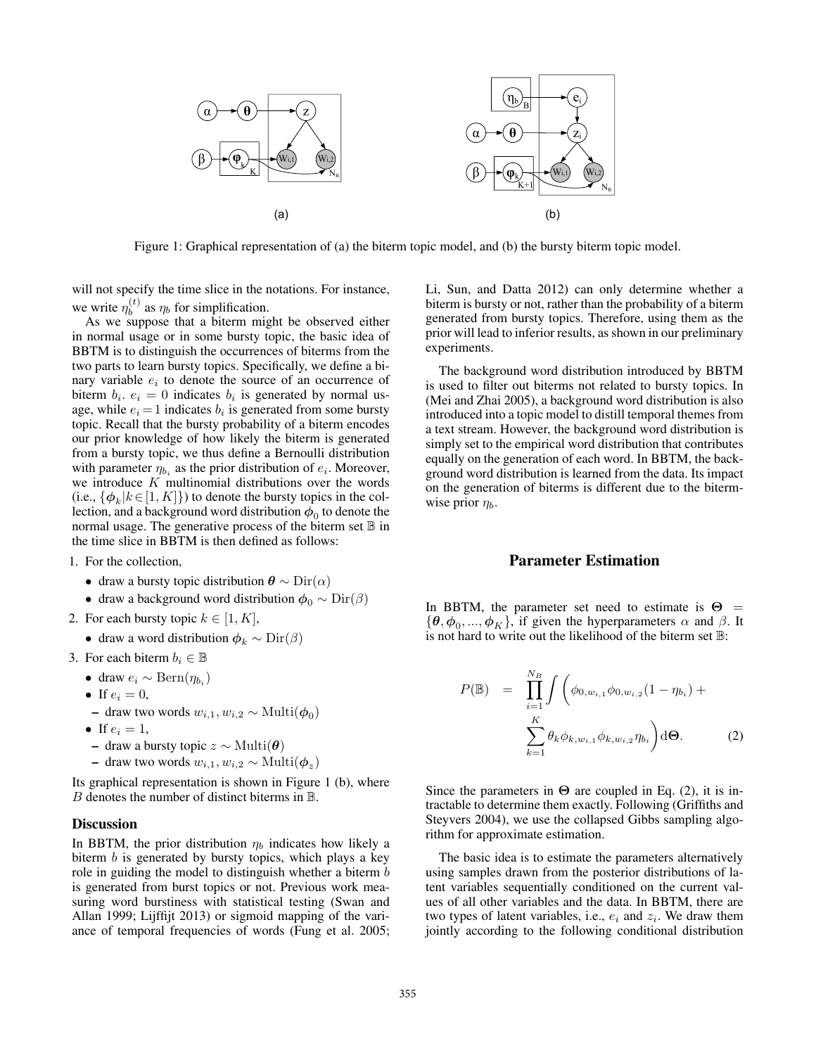

Figure 1: Graphical representation of (a) the biterm topic model, and (b) the bursty biterm topic model.

will not specify the time slice in the notations. For instance, we write  $\eta_b^{(t)}$  $b<sup>(t)</sup>$  as  $\eta_b$  for simplification.

As we suppose that a biterm might be observed either in normal usage or in some bursty topic, the basic idea of BBTM is to distinguish the occurrences of biterms from the two parts to learn bursty topics. Specifically, we define a binary variable  $e_i$  to denote the source of an occurrence of biterm  $b_i$ .  $e_i = 0$  indicates  $b_i$  is generated by normal usage, while  $e_i = 1$  indicates  $b_i$  is generated from some bursty topic. Recall that the bursty probability of a biterm encodes our prior knowledge of how likely the biterm is generated from a bursty topic, we thus define a Bernoulli distribution with parameter  $\eta_{b_i}$  as the prior distribution of  $e_i$ . Moreover, we introduce  $K$  multinomial distributions over the words (i.e.,  $\{\phi_k | k \in [1, K]\}$ ) to denote the bursty topics in the collection, and a background word distribution  $\phi_0$  to denote the normal usage. The generative process of the biterm set  $\mathbb B$  in the time slice in BBTM is then defined as follows:

- 1. For the collection,
	- draw a bursty topic distribution  $\theta \sim \text{Dir}(\alpha)$
	- draw a background word distribution  $\phi_0 \sim \text{Dir}(\beta)$
- 2. For each bursty topic  $k \in [1, K]$ ,
	- draw a word distribution  $\phi_k \sim \text{Dir}(\beta)$
- 3. For each biterm  $b_i \in \mathbb{B}$
- draw  $e_i \sim \text{Bern}(\eta_{b_i})$ 
	- If  $e_i = 0$ ,
	- draw two words  $w_{i,1}, w_{i,2}$  ∼ Multi $(\phi_0)$
	- If  $e_i = 1$ ,
	- draw a bursty topic z ∼ Multi(θ)
	- draw two words  $w_{i,1}, w_{i,2}$  ∼ Multi $(\phi_z)$

Its graphical representation is shown in Figure 1 (b), where  $B$  denotes the number of distinct biterms in  $\mathbb B$ .

#### **Discussion**

In BBTM, the prior distribution  $\eta_b$  indicates how likely a biterm  $b$  is generated by bursty topics, which plays a key role in guiding the model to distinguish whether a biterm b is generated from burst topics or not. Previous work measuring word burstiness with statistical testing (Swan and Allan 1999; Lijffijt 2013) or sigmoid mapping of the variance of temporal frequencies of words (Fung et al. 2005; Li, Sun, and Datta 2012) can only determine whether a biterm is bursty or not, rather than the probability of a biterm generated from bursty topics. Therefore, using them as the prior will lead to inferior results, as shown in our preliminary experiments.

The background word distribution introduced by BBTM is used to filter out biterms not related to bursty topics. In (Mei and Zhai 2005), a background word distribution is also introduced into a topic model to distill temporal themes from a text stream. However, the background word distribution is simply set to the empirical word distribution that contributes equally on the generation of each word. In BBTM, the background word distribution is learned from the data. Its impact on the generation of biterms is different due to the bitermwise prior  $\eta_b$ .

#### Parameter Estimation

In BBTM, the parameter set need to estimate is  $\Theta$  =  $\{\boldsymbol{\theta}, \boldsymbol{\phi}_0, ..., \boldsymbol{\phi}_K\}$ , if given the hyperparameters  $\alpha$  and  $\beta$ . It is not hard to write out the likelihood of the biterm set  $\mathbb{B}$ :

$$
P(\mathbb{B}) = \prod_{i=1}^{N_B} \int \left( \phi_{0,w_{i,1}} \phi_{0,w_{i,2}} (1 - \eta_{b_i}) + \sum_{k=1}^K \theta_k \phi_{k,w_{i,1}} \phi_{k,w_{i,2}} \eta_{b_i} \right) d\Theta.
$$
 (2)

Since the parameters in  $\Theta$  are coupled in Eq. (2), it is intractable to determine them exactly. Following (Griffiths and Steyvers 2004), we use the collapsed Gibbs sampling algorithm for approximate estimation.

The basic idea is to estimate the parameters alternatively using samples drawn from the posterior distributions of latent variables sequentially conditioned on the current values of all other variables and the data. In BBTM, there are two types of latent variables, i.e.,  $e_i$  and  $z_i$ . We draw them jointly according to the following conditional distribution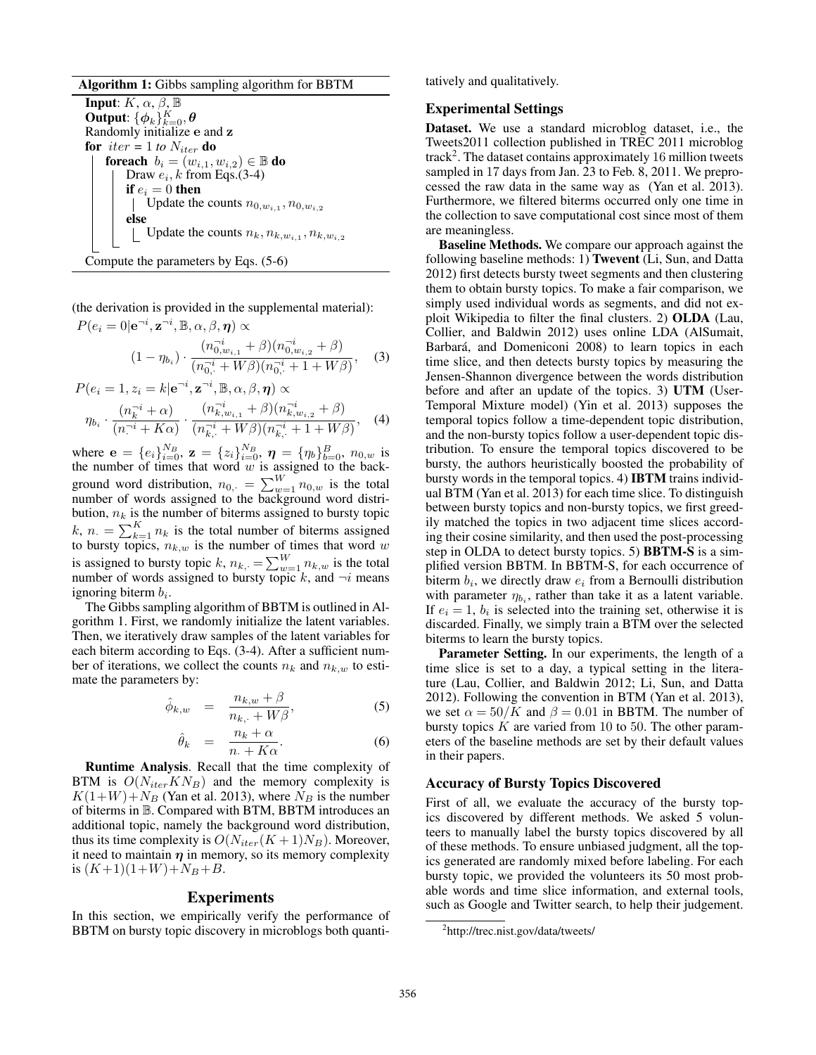Algorithm 1: Gibbs sampling algorithm for BBTM

**Input:**  $K, \alpha, \beta, \mathbb{B}$ Output:  $\{\boldsymbol{\phi}_k\}_{k=0}^K, \boldsymbol{\theta}$ Randomly initialize e and z for  $iter = 1$  *to*  $N_{iter}$  do foreach  $b_i = (w_{i,1}, w_{i,2}) \in \mathbb{B}$  do Draw  $e_i$ , k from Eqs.(3-4) if  $e_i = 0$  then Update the counts  $n_{0,w_{i,1}}, n_{0,w_{i,2}}$ else Update the counts  $n_k, n_{k,w_{i,1}}, n_{k,w_{i,2}}$ Compute the parameters by Eqs. (5-6)

(the derivation is provided in the supplemental material):

$$
P(e_i = 0 | \mathbf{e}^{-i}, \mathbf{z}^{-i}, \mathbb{B}, \alpha, \beta, \boldsymbol{\eta}) \propto
$$
  

$$
(1 - \eta_{b_i}) \cdot \frac{(n_{0, w_{i, 1}}^{-i} + \beta)(n_{0, w_{i, 2}}^{-i} + \beta)}{(n_{0, \cdot}^{-i} + W\beta)(n_{0, \cdot}^{-i} + 1 + W\beta)},
$$
(3)  

$$
P(e_i = 1, z_i = k | \mathbf{e}^{-i}, \mathbf{z}^{-i}, \mathbb{B}, \alpha, \beta, \boldsymbol{\eta}) \propto
$$

$$
\eta_{b_i} \cdot \frac{(n_k^{-i} + \alpha)}{(n^{-i} + K\alpha)} \cdot \frac{(n_{k,w_{i,1}}^{-i} + \beta)(n_{k,w_{i,2}}^{-i} + \beta)}{(n_{k,\cdot}^{-i} + W\beta)(n_{k,\cdot}^{-i} + 1 + W\beta)}, \quad (4)
$$

where  $\mathbf{e} = \{e_i\}_{i=0}^{N_B}$ ,  $\mathbf{z} = \{z_i\}_{i=0}^{N_B}$ ,  $\boldsymbol{\eta} = \{\eta_b\}_{b=0}^B$ ,  $n_{0,w}$  is the number of times that word  $w$  is assigned to the background word distribution,  $n_{0,+} = \sum_{w=1}^{W} n_{0,w}$  is the total number of words assigned to the background word distribution,  $n_k$  is the number of biterms assigned to bursty topic  $k, n. = \sum_{k=1}^{K} n_k$  is the total number of biterms assigned to bursty topics,  $n_{k,w}$  is the number of times that word w is assigned to bursty topic k,  $n_{k, \cdot} = \sum_{w=1}^{W} n_{k,w}$  is the total number of words assigned to bursty topic k, and  $\neg i$  means ignoring biterm  $b_i$ .

The Gibbs sampling algorithm of BBTM is outlined in Algorithm 1. First, we randomly initialize the latent variables. Then, we iteratively draw samples of the latent variables for each biterm according to Eqs. (3-4). After a sufficient number of iterations, we collect the counts  $n_k$  and  $n_{k,w}$  to estimate the parameters by:

$$
\hat{\phi}_{k,w} = \frac{n_{k,w} + \beta}{n_{k,\cdot} + W\beta},\tag{5}
$$

$$
\hat{\theta}_k = \frac{n_k + \alpha}{n + K\alpha}.
$$
\n(6)

Runtime Analysis. Recall that the time complexity of BTM is  $O(N_{iter}KN_B)$  and the memory complexity is  $K(1+W)+N_B$  (Yan et al. 2013), where  $N_B$  is the number of biterms in B. Compared with BTM, BBTM introduces an additional topic, namely the background word distribution, thus its time complexity is  $O(N_{iter}(K+1)N_B)$ . Moreover, it need to maintain  $\eta$  in memory, so its memory complexity is  $(K+1)(1+W) + N_B + B$ .

### Experiments

In this section, we empirically verify the performance of BBTM on bursty topic discovery in microblogs both quantitatively and qualitatively.

### Experimental Settings

Dataset. We use a standard microblog dataset, i.e., the Tweets2011 collection published in TREC 2011 microblog track<sup>2</sup>. The dataset contains approximately 16 million tweets sampled in 17 days from Jan. 23 to Feb. 8, 2011. We preprocessed the raw data in the same way as (Yan et al. 2013). Furthermore, we filtered biterms occurred only one time in the collection to save computational cost since most of them are meaningless.

Baseline Methods. We compare our approach against the following baseline methods: 1) Twevent (Li, Sun, and Datta 2012) first detects bursty tweet segments and then clustering them to obtain bursty topics. To make a fair comparison, we simply used individual words as segments, and did not exploit Wikipedia to filter the final clusters. 2) OLDA (Lau, Collier, and Baldwin 2012) uses online LDA (AlSumait, Barbará, and Domeniconi 2008) to learn topics in each time slice, and then detects bursty topics by measuring the Jensen-Shannon divergence between the words distribution before and after an update of the topics. 3) UTM (User-Temporal Mixture model) (Yin et al. 2013) supposes the temporal topics follow a time-dependent topic distribution, and the non-bursty topics follow a user-dependent topic distribution. To ensure the temporal topics discovered to be bursty, the authors heuristically boosted the probability of bursty words in the temporal topics. 4) IBTM trains individual BTM (Yan et al. 2013) for each time slice. To distinguish between bursty topics and non-bursty topics, we first greedily matched the topics in two adjacent time slices according their cosine similarity, and then used the post-processing step in OLDA to detect bursty topics. 5) BBTM-S is a simplified version BBTM. In BBTM-S, for each occurrence of biterm  $b_i$ , we directly draw  $e_i$  from a Bernoulli distribution with parameter  $\eta_{b_i}$ , rather than take it as a latent variable. If  $e_i = 1$ ,  $b_i$  is selected into the training set, otherwise it is discarded. Finally, we simply train a BTM over the selected biterms to learn the bursty topics.

Parameter Setting. In our experiments, the length of a time slice is set to a day, a typical setting in the literature (Lau, Collier, and Baldwin 2012; Li, Sun, and Datta 2012). Following the convention in BTM (Yan et al. 2013), we set  $\alpha = 50/K$  and  $\beta = 0.01$  in BBTM. The number of bursty topics  $K$  are varied from 10 to 50. The other parameters of the baseline methods are set by their default values in their papers.

# Accuracy of Bursty Topics Discovered

First of all, we evaluate the accuracy of the bursty topics discovered by different methods. We asked 5 volunteers to manually label the bursty topics discovered by all of these methods. To ensure unbiased judgment, all the topics generated are randomly mixed before labeling. For each bursty topic, we provided the volunteers its 50 most probable words and time slice information, and external tools, such as Google and Twitter search, to help their judgement.

<sup>&</sup>lt;sup>2</sup>http://trec.nist.gov/data/tweets/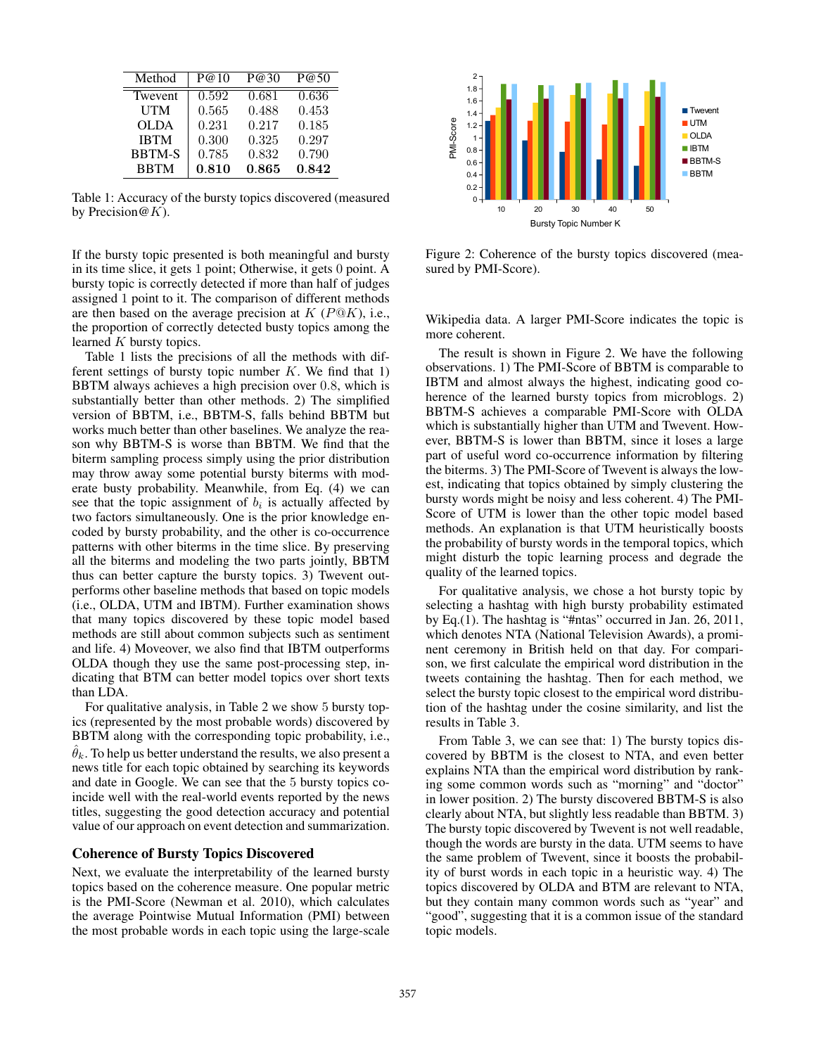| Method        | P@10  | P@30  | P@50  |
|---------------|-------|-------|-------|
| Twevent       | 0.592 | 0.681 | 0.636 |
| UTM           | 0.565 | 0.488 | 0.453 |
| <b>OLDA</b>   | 0.231 | 0.217 | 0.185 |
| <b>IBTM</b>   | 0.300 | 0.325 | 0.297 |
| <b>BBTM-S</b> | 0.785 | 0.832 | 0.790 |
| <b>BBTM</b>   | 0.810 | 0.865 | 0.842 |

Table 1: Accuracy of the bursty topics discovered (measured by Precision $@K$ ).

If the bursty topic presented is both meaningful and bursty in its time slice, it gets 1 point; Otherwise, it gets 0 point. A bursty topic is correctly detected if more than half of judges assigned 1 point to it. The comparison of different methods are then based on the average precision at  $K$  ( $P@K$ ), i.e., the proportion of correctly detected busty topics among the learned  $K$  bursty topics.

Table 1 lists the precisions of all the methods with different settings of bursty topic number  $K$ . We find that 1) BBTM always achieves a high precision over 0.8, which is substantially better than other methods. 2) The simplified version of BBTM, i.e., BBTM-S, falls behind BBTM but works much better than other baselines. We analyze the reason why BBTM-S is worse than BBTM. We find that the biterm sampling process simply using the prior distribution may throw away some potential bursty biterms with moderate busty probability. Meanwhile, from Eq. (4) we can see that the topic assignment of  $b_i$  is actually affected by two factors simultaneously. One is the prior knowledge encoded by bursty probability, and the other is co-occurrence patterns with other biterms in the time slice. By preserving all the biterms and modeling the two parts jointly, BBTM thus can better capture the bursty topics. 3) Twevent outperforms other baseline methods that based on topic models (i.e., OLDA, UTM and IBTM). Further examination shows that many topics discovered by these topic model based methods are still about common subjects such as sentiment and life. 4) Moveover, we also find that IBTM outperforms OLDA though they use the same post-processing step, indicating that BTM can better model topics over short texts than LDA.

For qualitative analysis, in Table 2 we show 5 bursty topics (represented by the most probable words) discovered by BBTM along with the corresponding topic probability, i.e.,  $\hat{\theta}_k$ . To help us better understand the results, we also present a news title for each topic obtained by searching its keywords and date in Google. We can see that the 5 bursty topics coincide well with the real-world events reported by the news titles, suggesting the good detection accuracy and potential value of our approach on event detection and summarization.

### Coherence of Bursty Topics Discovered

Next, we evaluate the interpretability of the learned bursty topics based on the coherence measure. One popular metric is the PMI-Score (Newman et al. 2010), which calculates the average Pointwise Mutual Information (PMI) between the most probable words in each topic using the large-scale



Figure 2: Coherence of the bursty topics discovered (measured by PMI-Score).

Wikipedia data. A larger PMI-Score indicates the topic is more coherent.

The result is shown in Figure 2. We have the following observations. 1) The PMI-Score of BBTM is comparable to IBTM and almost always the highest, indicating good coherence of the learned bursty topics from microblogs. 2) BBTM-S achieves a comparable PMI-Score with OLDA which is substantially higher than UTM and Twevent. However, BBTM-S is lower than BBTM, since it loses a large part of useful word co-occurrence information by filtering the biterms. 3) The PMI-Score of Twevent is always the lowest, indicating that topics obtained by simply clustering the bursty words might be noisy and less coherent. 4) The PMI-Score of UTM is lower than the other topic model based methods. An explanation is that UTM heuristically boosts the probability of bursty words in the temporal topics, which might disturb the topic learning process and degrade the quality of the learned topics.

For qualitative analysis, we chose a hot bursty topic by selecting a hashtag with high bursty probability estimated by Eq.(1). The hashtag is "#ntas" occurred in Jan. 26, 2011, which denotes NTA (National Television Awards), a prominent ceremony in British held on that day. For comparison, we first calculate the empirical word distribution in the tweets containing the hashtag. Then for each method, we select the bursty topic closest to the empirical word distribution of the hashtag under the cosine similarity, and list the results in Table 3.

From Table 3, we can see that: 1) The bursty topics discovered by BBTM is the closest to NTA, and even better explains NTA than the empirical word distribution by ranking some common words such as "morning" and "doctor" in lower position. 2) The bursty discovered BBTM-S is also clearly about NTA, but slightly less readable than BBTM. 3) The bursty topic discovered by Twevent is not well readable, though the words are bursty in the data. UTM seems to have the same problem of Twevent, since it boosts the probability of burst words in each topic in a heuristic way. 4) The topics discovered by OLDA and BTM are relevant to NTA, but they contain many common words such as "year" and "good", suggesting that it is a common issue of the standard topic models.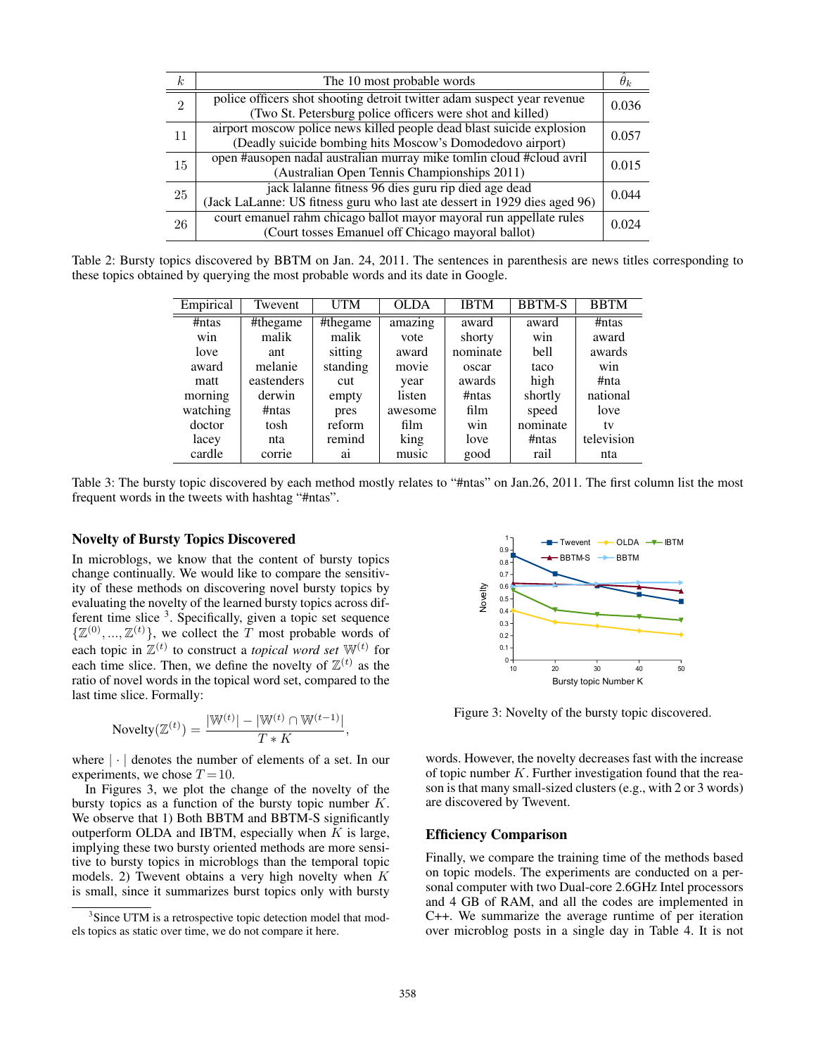| $\boldsymbol{k}$ | The 10 most probable words                                                                                                           |       |
|------------------|--------------------------------------------------------------------------------------------------------------------------------------|-------|
| $\mathfrak{D}$   | police officers shot shooting detroit twitter adam suspect year revenue<br>(Two St. Petersburg police officers were shot and killed) | 0.036 |
| 11               | airport moscow police news killed people dead blast suicide explosion<br>(Deadly suicide bombing hits Moscow's Domodedovo airport)   | 0.057 |
| 15               | open #ausopen nadal australian murray mike tomlin cloud #cloud avril<br>(Australian Open Tennis Championships 2011)                  | 0.015 |
| 25               | jack lalanne fitness 96 dies guru rip died age dead<br>(Jack LaLanne: US fitness guru who last ate dessert in 1929 dies aged 96)     | 0.044 |
| 26               | court emanuel rahm chicago ballot mayor mayoral run appellate rules<br>(Court tosses Emanuel off Chicago mayoral ballot)             | 0.024 |

Table 2: Bursty topics discovered by BBTM on Jan. 24, 2011. The sentences in parenthesis are news titles corresponding to these topics obtained by querying the most probable words and its date in Google.

| Empirical | Twevent    | UTM      | <b>OLDA</b> | <b>IBTM</b> | <b>BBTM-S</b> | <b>BBTM</b> |
|-----------|------------|----------|-------------|-------------|---------------|-------------|
| #ntas     | #thegame   | #thegame | amazing     | award       | award         | #ntas       |
| win       | malik      | malik    | vote        | shorty      | win           | award       |
| love      | ant        | sitting  | award       | nominate    | bell          | awards      |
| award     | melanie    | standing | movie       | oscar       | taco          | win         |
| matt      | eastenders | cut      | year        | awards      | high          | #nta        |
| morning   | derwin     | empty    | listen      | #ntas       | shortly       | national    |
| watching  | #ntas      | pres     | awesome     | film        | speed         | love        |
| doctor    | tosh       | reform   | film        | win         | nominate      | tv          |
| lacey     | nta        | remind   | king        | love        | #ntas         | television  |
| cardle    | corrie     | a1       | music       | good        | rail          | nta         |

Table 3: The bursty topic discovered by each method mostly relates to "#ntas" on Jan.26, 2011. The first column list the most frequent words in the tweets with hashtag "#ntas".

#### Novelty of Bursty Topics Discovered

In microblogs, we know that the content of bursty topics change continually. We would like to compare the sensitivity of these methods on discovering novel bursty topics by evaluating the novelty of the learned bursty topics across different time slice <sup>3</sup>. Specifically, given a topic set sequence  $\{\mathbb{Z}^{(0)}, ..., \mathbb{Z}^{(t)}\}$ , we collect the T most probable words of each topic in  $\mathbb{Z}^{(t)}$  to construct a *topical word set*  $\mathbb{W}^{(t)}$  for each time slice. Then, we define the novelty of  $\mathbb{Z}^{(t)}$  as the ratio of novel words in the topical word set, compared to the last time slice. Formally:

$$
Novelty(\mathbb{Z}^{(t)}) = \frac{|\mathbb{W}^{(t)}| - |\mathbb{W}^{(t)} \cap \mathbb{W}^{(t-1)}|}{T*K},
$$

where | · | denotes the number of elements of a set. In our experiments, we chose  $T = 10$ .

In Figures 3, we plot the change of the novelty of the bursty topics as a function of the bursty topic number  $K$ . We observe that 1) Both BBTM and BBTM-S significantly outperform OLDA and IBTM, especially when  $K$  is large, implying these two bursty oriented methods are more sensitive to bursty topics in microblogs than the temporal topic models. 2) Twevent obtains a very high novelty when  $K$ is small, since it summarizes burst topics only with bursty



Figure 3: Novelty of the bursty topic discovered.

words. However, the novelty decreases fast with the increase of topic number  $K$ . Further investigation found that the reason is that many small-sized clusters (e.g., with 2 or 3 words) are discovered by Twevent.

## Efficiency Comparison

Finally, we compare the training time of the methods based on topic models. The experiments are conducted on a personal computer with two Dual-core 2.6GHz Intel processors and 4 GB of RAM, and all the codes are implemented in C++. We summarize the average runtime of per iteration over microblog posts in a single day in Table 4. It is not

<sup>&</sup>lt;sup>3</sup>Since UTM is a retrospective topic detection model that models topics as static over time, we do not compare it here.